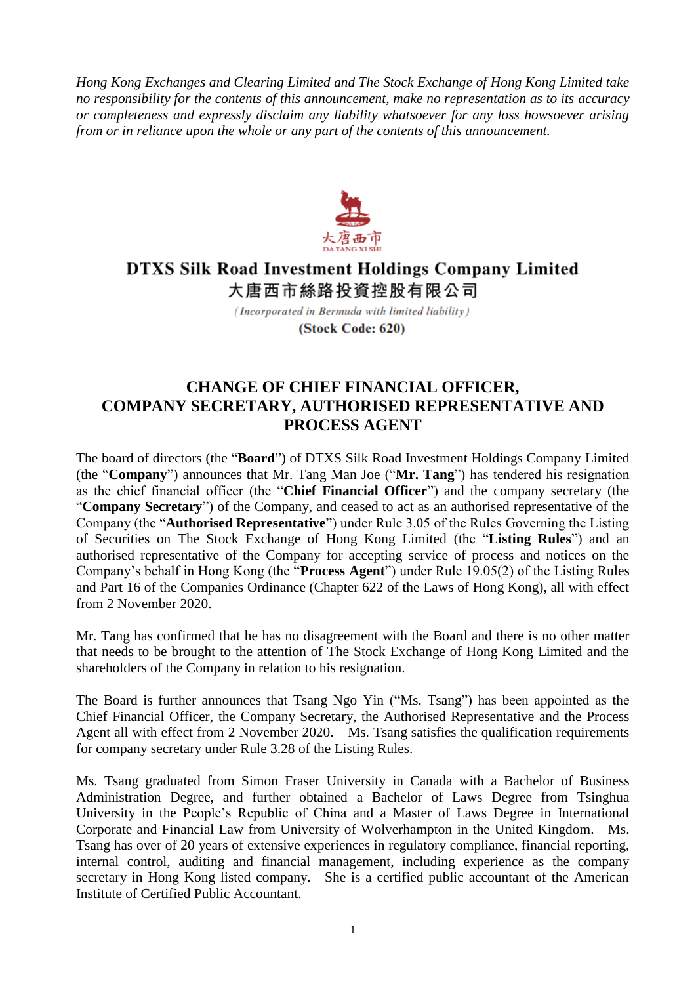*Hong Kong Exchanges and Clearing Limited and The Stock Exchange of Hong Kong Limited take no responsibility for the contents of this announcement, make no representation as to its accuracy or completeness and expressly disclaim any liability whatsoever for any loss howsoever arising from or in reliance upon the whole or any part of the contents of this announcement.*



## **DTXS Silk Road Investment Holdings Company Limited** 大唐西市絲路投資控股有限公司

(Incorporated in Bermuda with limited liability) (Stock Code: 620)

## **CHANGE OF CHIEF FINANCIAL OFFICER, COMPANY SECRETARY, AUTHORISED REPRESENTATIVE AND PROCESS AGENT**

The board of directors (the "**Board**") of DTXS Silk Road Investment Holdings Company Limited (the "**Company**") announces that Mr. Tang Man Joe ("**Mr. Tang**") has tendered his resignation as the chief financial officer (the "**Chief Financial Officer**") and the company secretary (the "**Company Secretary**") of the Company, and ceased to act as an authorised representative of the Company (the "**Authorised Representative**") under Rule 3.05 of the Rules Governing the Listing of Securities on The Stock Exchange of Hong Kong Limited (the "**Listing Rules**") and an authorised representative of the Company for accepting service of process and notices on the Company's behalf in Hong Kong (the "**Process Agent**") under Rule 19.05(2) of the Listing Rules and Part 16 of the Companies Ordinance (Chapter 622 of the Laws of Hong Kong), all with effect from 2 November 2020.

Mr. Tang has confirmed that he has no disagreement with the Board and there is no other matter that needs to be brought to the attention of The Stock Exchange of Hong Kong Limited and the shareholders of the Company in relation to his resignation.

The Board is further announces that Tsang Ngo Yin ("Ms. Tsang") has been appointed as the Chief Financial Officer, the Company Secretary, the Authorised Representative and the Process Agent all with effect from 2 November 2020. Ms. Tsang satisfies the qualification requirements for company secretary under Rule 3.28 of the Listing Rules.

Ms. Tsang graduated from Simon Fraser University in Canada with a Bachelor of Business Administration Degree, and further obtained a Bachelor of Laws Degree from Tsinghua University in the People's Republic of China and a Master of Laws Degree in International Corporate and Financial Law from University of Wolverhampton in the United Kingdom. Ms. Tsang has over of 20 years of extensive experiences in regulatory compliance, financial reporting, internal control, auditing and financial management, including experience as the company secretary in Hong Kong listed company. She is a certified public accountant of the American Institute of Certified Public Accountant.